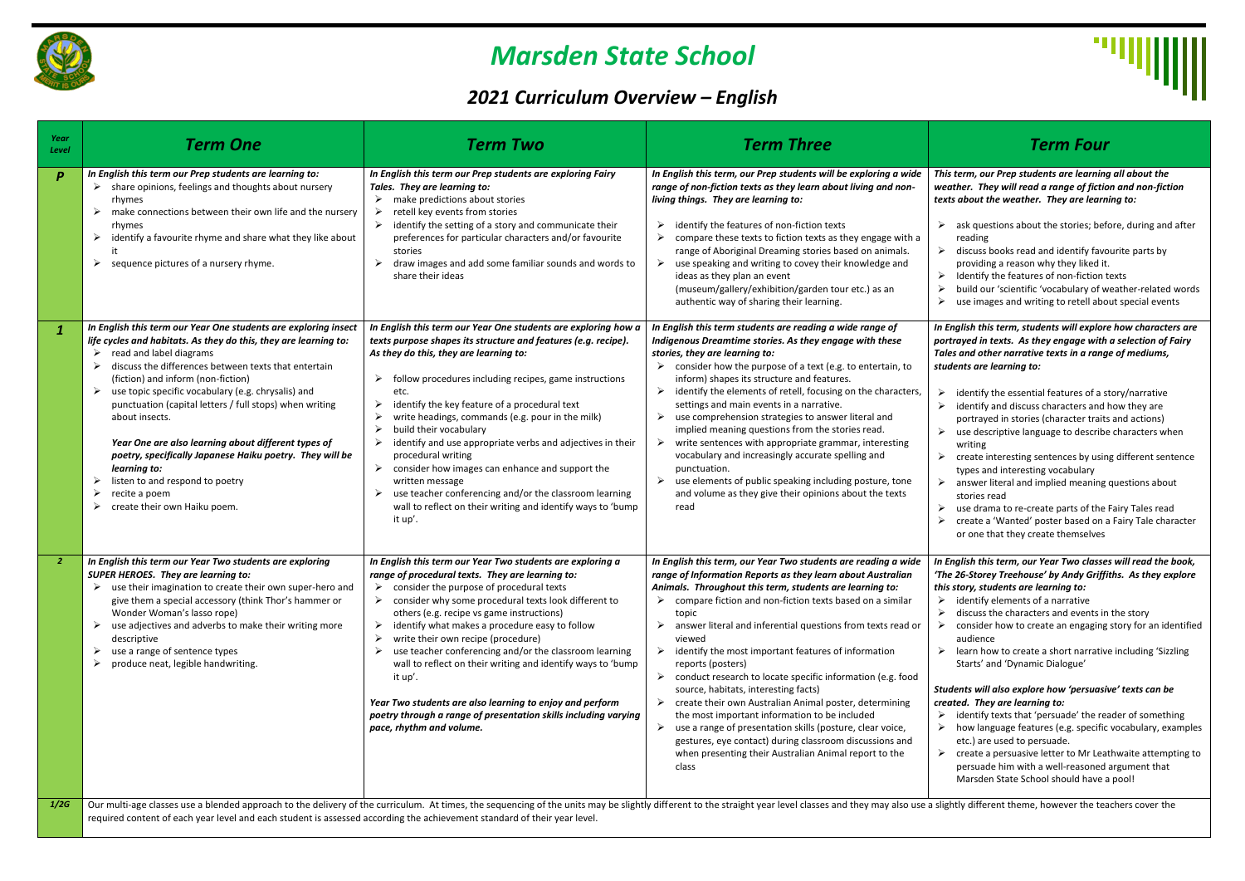

# *Marsden State School*

## *2021 Curriculum Overview – English*

#### *This term, our Prep students are learning all about the weather. They will read a range of fiction and non-fiction texts about the weather. They are learning to:*

- $\triangleright$  ask questions about the stories; before, during and after reading
- $\triangleright$  discuss books read and identify favourite parts by providing a reason why they liked it.
- $\triangleright$  Identify the features of non-fiction texts
- ➢ build our 'scientific 'vocabulary of weather-related words
- $\triangleright$  use images and writing to retell about special events

- $\triangleright$  identify the essential features of a story/narrative
- $\triangleright$  identify and discuss characters and how they are portrayed in stories (character traits and actions)
- $\triangleright$  use descriptive language to describe characters when writing
- $\triangleright$  create interesting sentences by using different sentence types and interesting vocabulary
- $\triangleright$  answer literal and implied meaning questions about stories read
- ➢ use drama to re-create parts of the Fairy Tales read
- ➢ create a 'Wanted' poster based on a Fairy Tale character or one that they create themselves

| Year<br>Level    | <b>Term One</b>                                                                                                                                                                                                                                                                                                                                                                                                                                                                                                                                                                                                        | <b>Term Two</b>                                                                                                                                                                                                                                                                                                                                                                                                                                                                                                                                                                                                                                                                               | <b>Term Three</b>                                                                                                                                                                                                                                                                                                                                                                                                                                                                                                                                                                                                                                                                                                                                                                                                                                              | <b>Term Four</b>                                                                                                                                                                                                                                                                                                                                                                                                                                                                                                                                                                                                                                                                                                                                 |
|------------------|------------------------------------------------------------------------------------------------------------------------------------------------------------------------------------------------------------------------------------------------------------------------------------------------------------------------------------------------------------------------------------------------------------------------------------------------------------------------------------------------------------------------------------------------------------------------------------------------------------------------|-----------------------------------------------------------------------------------------------------------------------------------------------------------------------------------------------------------------------------------------------------------------------------------------------------------------------------------------------------------------------------------------------------------------------------------------------------------------------------------------------------------------------------------------------------------------------------------------------------------------------------------------------------------------------------------------------|----------------------------------------------------------------------------------------------------------------------------------------------------------------------------------------------------------------------------------------------------------------------------------------------------------------------------------------------------------------------------------------------------------------------------------------------------------------------------------------------------------------------------------------------------------------------------------------------------------------------------------------------------------------------------------------------------------------------------------------------------------------------------------------------------------------------------------------------------------------|--------------------------------------------------------------------------------------------------------------------------------------------------------------------------------------------------------------------------------------------------------------------------------------------------------------------------------------------------------------------------------------------------------------------------------------------------------------------------------------------------------------------------------------------------------------------------------------------------------------------------------------------------------------------------------------------------------------------------------------------------|
| $\boldsymbol{P}$ | In English this term our Prep students are learning to:<br>share opinions, feelings and thoughts about nursery<br>rhymes<br>make connections between their own life and the nursery<br>rhymes<br>identify a favourite rhyme and share what they like about<br>sequence pictures of a nursery rhyme.                                                                                                                                                                                                                                                                                                                    | In English this term our Prep students are exploring Fairy<br>Tales. They are learning to:<br>make predictions about stories<br>retell key events from stories<br>identify the setting of a story and communicate their<br>preferences for particular characters and/or favourite<br>stories<br>draw images and add some familiar sounds and words to<br>share their ideas                                                                                                                                                                                                                                                                                                                    | In English this term, our Prep students will be exploring a wide<br>range of non-fiction texts as they learn about living and non-<br>living things. They are learning to:<br>identify the features of non-fiction texts<br>compare these texts to fiction texts as they engage with a<br>range of Aboriginal Dreaming stories based on animals.<br>use speaking and writing to covey their knowledge and<br>ideas as they plan an event<br>(museum/gallery/exhibition/garden tour etc.) as an<br>authentic way of sharing their learning.                                                                                                                                                                                                                                                                                                                     | This term, our Prep students are learning<br>weather. They will read a range of fictic<br>texts about the weather. They are learn<br>ask questions about the stories; bef<br>reading<br>discuss books read and identify favo<br>providing a reason why they liked it<br>$\triangleright$ Identify the features of non-fiction t<br>build our 'scientific 'vocabulary of w<br>use images and writing to retell abo                                                                                                                                                                                                                                                                                                                                |
|                  | In English this term our Year One students are exploring insect<br>life cycles and habitats. As they do this, they are learning to:<br>read and label diagrams<br>discuss the differences between texts that entertain<br>(fiction) and inform (non-fiction)<br>use topic specific vocabulary (e.g. chrysalis) and<br>punctuation (capital letters / full stops) when writing<br>about insects.<br>Year One are also learning about different types of<br>poetry, specifically Japanese Haiku poetry. They will be<br>learning to:<br>listen to and respond to poetry<br>recite a poem<br>create their own Haiku poem. | In English this term our Year One students are exploring how a<br>texts purpose shapes its structure and features (e.g. recipe).<br>As they do this, they are learning to:<br>follow procedures including recipes, game instructions<br>etc.<br>identify the key feature of a procedural text<br>write headings, commands (e.g. pour in the milk)<br>build their vocabulary<br>identify and use appropriate verbs and adjectives in their<br>procedural writing<br>consider how images can enhance and support the<br>written message<br>use teacher conferencing and/or the classroom learning<br>wall to reflect on their writing and identify ways to 'bump<br>it up'.                     | In English this term students are reading a wide range of<br>Indigenous Dreamtime stories. As they engage with these<br>stories, they are learning to:<br>consider how the purpose of a text (e.g. to entertain, to<br>inform) shapes its structure and features.<br>identify the elements of retell, focusing on the characters,<br>settings and main events in a narrative.<br>use comprehension strategies to answer literal and<br>implied meaning questions from the stories read.<br>write sentences with appropriate grammar, interesting<br>vocabulary and increasingly accurate spelling and<br>punctuation.<br>use elements of public speaking including posture, tone<br>and volume as they give their opinions about the texts<br>read                                                                                                             | In English this term, students will explore<br>portrayed in texts. As they engage with<br>Tales and other narrative texts in a rang<br>students are learning to:<br>identify the essential features of a s<br>➤<br>identify and discuss characters and<br>portrayed in stories (character traits<br>use descriptive language to describe<br>➤<br>writing<br>create interesting sentences by usin<br>≻<br>types and interesting vocabulary<br>answer literal and implied meaning<br>≻<br>stories read<br>use drama to re-create parts of the<br>create a 'Wanted' poster based on a<br>or one that they create themselves                                                                                                                         |
| 2                | In English this term our Year Two students are exploring<br><b>SUPER HEROES.</b> They are learning to:<br>$\triangleright$ use their imagination to create their own super-hero and<br>give them a special accessory (think Thor's hammer or<br>Wonder Woman's lasso rope)<br>use adjectives and adverbs to make their writing more<br>descriptive<br>use a range of sentence types<br>produce neat, legible handwriting.                                                                                                                                                                                              | In English this term our Year Two students are exploring a<br>range of procedural texts. They are learning to:<br>$\triangleright$ consider the purpose of procedural texts<br>$\triangleright$ consider why some procedural texts look different to<br>others (e.g. recipe vs game instructions)<br>identify what makes a procedure easy to follow<br>➤<br>write their own recipe (procedure)<br>use teacher conferencing and/or the classroom learning<br>wall to reflect on their writing and identify ways to 'bump<br>it up'.<br>Year Two students are also learning to enjoy and perform<br>poetry through a range of presentation skills including varying<br>pace, rhythm and volume. | In English this term, our Year Two students are reading a wide<br>range of Information Reports as they learn about Australian<br>Animals. Throughout this term, students are learning to:<br>$\triangleright$ compare fiction and non-fiction texts based on a similar<br>topic<br>answer literal and inferential questions from texts read or<br>➤<br>viewed<br>identify the most important features of information<br>➤<br>reports (posters)<br>conduct research to locate specific information (e.g. food<br>source, habitats, interesting facts)<br>create their own Australian Animal poster, determining<br>➤<br>the most important information to be included<br>use a range of presentation skills (posture, clear voice,<br>gestures, eye contact) during classroom discussions and<br>when presenting their Australian Animal report to the<br>class | In English this term, our Year Two classe<br>'The 26-Storey Treehouse' by Andy Griffi<br>this story, students are learning to:<br>$\triangleright$ identify elements of a narrative<br>discuss the characters and events in<br>consider how to create an engaging<br>audience<br>$\triangleright$ learn how to create a short narrative<br>Starts' and 'Dynamic Dialogue'<br>Students will also explore how 'persuasi'<br>created. They are learning to:<br>$\triangleright$ identify texts that 'persuade' the read<br>$\triangleright$ how language features (e.g. specific<br>etc.) are used to persuade.<br>$\triangleright$ create a persuasive letter to Mr Lea<br>persuade him with a well-reasoned<br>Marsden State School should have a |
| 1/2G             |                                                                                                                                                                                                                                                                                                                                                                                                                                                                                                                                                                                                                        |                                                                                                                                                                                                                                                                                                                                                                                                                                                                                                                                                                                                                                                                                               | Our multi-age classes use a blended approach to the delivery of the curriculum. At times, the sequencing of the units may be slightly different to the straight year level classes and they may also use a slightly different                                                                                                                                                                                                                                                                                                                                                                                                                                                                                                                                                                                                                                  |                                                                                                                                                                                                                                                                                                                                                                                                                                                                                                                                                                                                                                                                                                                                                  |

- $\triangleright$  identify elements of a narrative
- $\triangleright$  discuss the characters and events in the story
- $\triangleright$  consider how to create an engaging story for an identified audience
- learn how to create a short narrative including 'Sizzling Starts' and 'Dynamic Dialogue'

- $\triangleright$  identify texts that 'persuade' the reader of something
- ➢ how language features (e.g. specific vocabulary, examples etc.) are used to persuade.
- $\triangleright$  create a persuasive letter to Mr Leathwaite attempting to persuade him with a well-reasoned argument that Marsden State School should have a pool!

lightly different theme, however the teachers cover the

*In English this term, students will explore how characters are portrayed in texts. As they engage with a selection of Fairy Tales and other narrative texts in a range of mediums, students are learning to:* 

*In English this term, our Year Two classes will read the book, 'The 26-Storey Treehouse' by Andy Griffiths. As they explore this story, students are learning to:*

#### *Students will also explore how 'persuasive' texts can be created. They are learning to:*

required content of each year level and each student is assessed according the achievement standard of their year level.

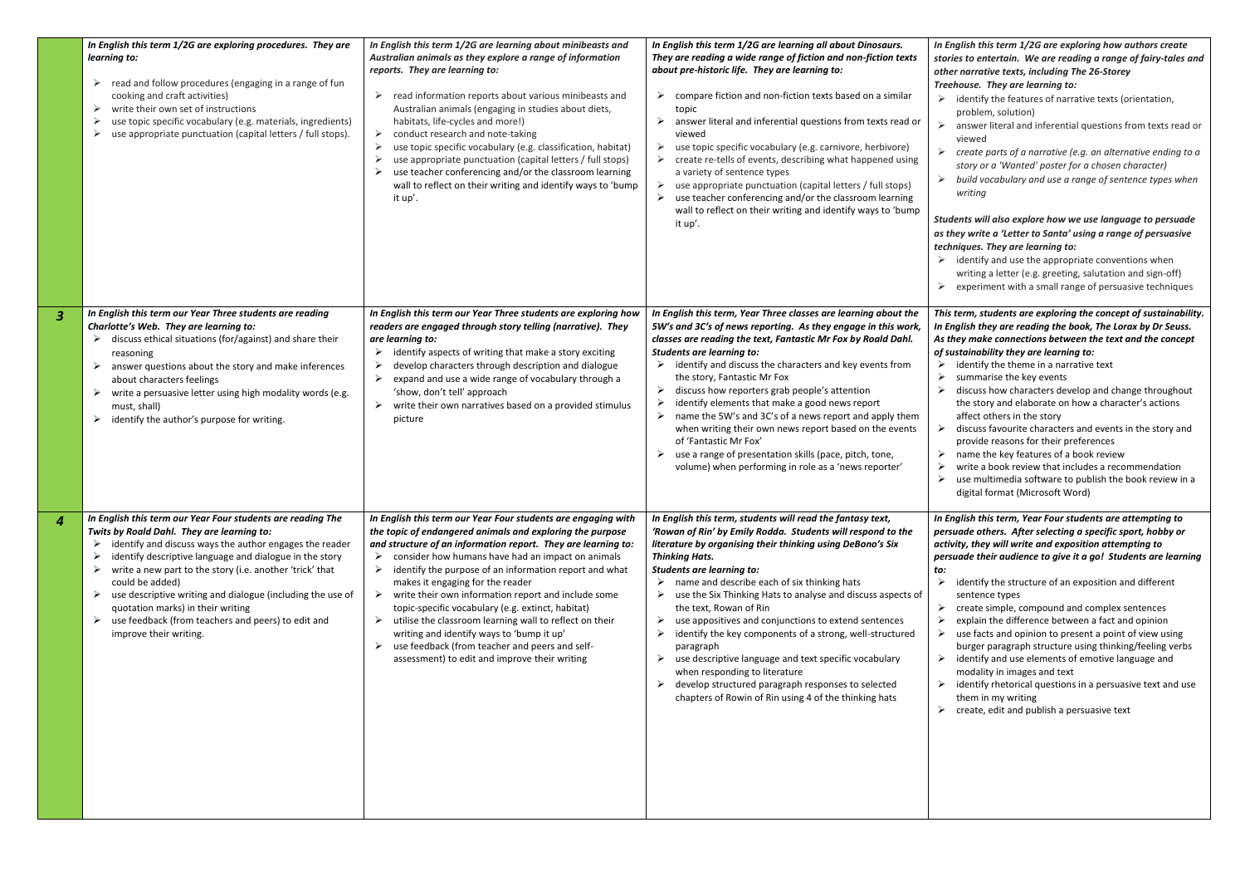- $\triangleright$  identify the features of narrative texts (orientation, problem, solution)
- $\triangleright$  answer literal and inferential questions from texts read or viewed
- ➢ *create parts of a narrative (e.g. an alternative ending to a story or a 'Wanted' poster for a chosen character)*
- ➢ *build vocabulary and use a range of sentence types when writing*

#### *In English this term 1/2G are exploring how authors create stories to entertain. We are reading a range of fairy-tales and other narrative texts, including The 26-Storey Treehouse. They are learning to:*

#### *Students will also explore how we use language to persuade as they write a 'Letter to Santa' using a range of persuasive techniques. They are learning to:*

- $\triangleright$  identify and use the appropriate conventions when writing a letter (e.g. greeting, salutation and sign-off)
- $\triangleright$  experiment with a small range of persuasive techniques

- $\triangleright$  identify the theme in a narrative text
- $\triangleright$  summarise the key events
- $\triangleright$  discuss how characters develop and change throughout the story and elaborate on how a character's actions affect others in the story
- $\triangleright$  discuss favourite characters and events in the story and provide reasons for their preferences
- $\triangleright$  name the key features of a book review
- $\triangleright$  write a book review that includes a recommendation
- $\triangleright$  use multimedia software to publish the book review in a digital format (Microsoft Word)

|                         | In English this term 1/2G are exploring procedures. They are<br>learning to:<br>read and follow procedures (engaging in a range of fun<br>➤<br>cooking and craft activities)<br>write their own set of instructions<br>➤<br>use topic specific vocabulary (e.g. materials, ingredients)<br>use appropriate punctuation (capital letters / full stops).                                                                                                                                                           | In English this term 1/2G are learning about minibeasts and<br>Australian animals as they explore a range of information<br>reports. They are learning to:<br>read information reports about various minibeasts and<br>➤<br>Australian animals (engaging in studies about diets,<br>habitats, life-cycles and more!)<br>conduct research and note-taking<br>➤<br>use topic specific vocabulary (e.g. classification, habitat)<br>≻<br>use appropriate punctuation (capital letters / full stops)<br>use teacher conferencing and/or the classroom learning<br>wall to reflect on their writing and identify ways to 'bump<br>it up'.                                                 | In English this term 1/2G are learning all about Dinosaurs.<br>They are reading a wide range of fiction and non-fiction texts<br>about pre-historic life. They are learning to:<br>compare fiction and non-fiction texts based on a similar<br>➤<br>topic<br>answer literal and inferential questions from texts read or<br>➤<br>viewed<br>use topic specific vocabulary (e.g. carnivore, herbivore)<br>➤<br>create re-tells of events, describing what happened using<br>a variety of sentence types<br>use appropriate punctuation (capital letters / full stops)<br>➤<br>use teacher conferencing and/or the classroom learning<br>wall to reflect on their writing and identify ways to 'bump<br>it up'.                                     |  |
|-------------------------|------------------------------------------------------------------------------------------------------------------------------------------------------------------------------------------------------------------------------------------------------------------------------------------------------------------------------------------------------------------------------------------------------------------------------------------------------------------------------------------------------------------|--------------------------------------------------------------------------------------------------------------------------------------------------------------------------------------------------------------------------------------------------------------------------------------------------------------------------------------------------------------------------------------------------------------------------------------------------------------------------------------------------------------------------------------------------------------------------------------------------------------------------------------------------------------------------------------|--------------------------------------------------------------------------------------------------------------------------------------------------------------------------------------------------------------------------------------------------------------------------------------------------------------------------------------------------------------------------------------------------------------------------------------------------------------------------------------------------------------------------------------------------------------------------------------------------------------------------------------------------------------------------------------------------------------------------------------------------|--|
| $\overline{\mathbf{3}}$ | In English this term our Year Three students are reading<br>Charlotte's Web. They are learning to:<br>discuss ethical situations (for/against) and share their<br>➤<br>reasoning<br>answer questions about the story and make inferences<br>about characters feelings<br>write a persuasive letter using high modality words (e.g.<br>➤<br>must, shall)<br>identify the author's purpose for writing.<br>➤                                                                                                       | In English this term our Year Three students are exploring how<br>readers are engaged through story telling (narrative). They<br>are learning to:<br>identify aspects of writing that make a story exciting<br>➤<br>develop characters through description and dialogue<br>➤<br>expand and use a wide range of vocabulary through a<br>'show, don't tell' approach<br>write their own narratives based on a provided stimulus<br>➤<br>picture                                                                                                                                                                                                                                        | In English this term, Year Three classes are learning about the<br>5W's and 3C's of news reporting. As they engage in this work,<br>classes are reading the text, Fantastic Mr Fox by Roald Dahl.<br><b>Students are learning to:</b><br>identify and discuss the characters and key events from<br>➤<br>the story, Fantastic Mr Fox<br>discuss how reporters grab people's attention<br>➤<br>identify elements that make a good news report<br>name the 5W's and 3C's of a news report and apply them<br>when writing their own news report based on the events<br>of 'Fantastic Mr Fox'<br>use a range of presentation skills (pace, pitch, tone,<br>➤<br>volume) when performing in role as a 'news reporter'                                 |  |
| $\overline{4}$          | In English this term our Year Four students are reading The<br>Twits by Roald Dahl. They are learning to:<br>identify and discuss ways the author engages the reader<br>identify descriptive language and dialogue in the story<br>➤<br>write a new part to the story (i.e. another 'trick' that<br>could be added)<br>use descriptive writing and dialogue (including the use of<br>➤<br>quotation marks) in their writing<br>use feedback (from teachers and peers) to edit and<br>➤<br>improve their writing. | In English this term our Year Four students are engaging with<br>the topic of endangered animals and exploring the purpose<br>and structure of an information report. They are learning to:<br>consider how humans have had an impact on animals<br>➤<br>identify the purpose of an information report and what<br>➤<br>makes it engaging for the reader<br>write their own information report and include some<br>topic-specific vocabulary (e.g. extinct, habitat)<br>utilise the classroom learning wall to reflect on their<br>writing and identify ways to 'bump it up'<br>use feedback (from teacher and peers and self-<br>➤<br>assessment) to edit and improve their writing | In English this term, students will read the fantasy text,<br>'Rowan of Rin' by Emily Rodda. Students will respond to the<br>literature by organising their thinking using DeBono's Six<br><b>Thinking Hats.</b><br><b>Students are learning to:</b><br>name and describe each of six thinking hats<br>use the Six Thinking Hats to analyse and discuss aspects of<br>the text, Rowan of Rin<br>use appositives and conjunctions to extend sentences<br>➤<br>identify the key components of a strong, well-structured<br>paragraph<br>use descriptive language and text specific vocabulary<br>➤<br>when responding to literature<br>develop structured paragraph responses to selected<br>chapters of Rowin of Rin using 4 of the thinking hats |  |

- *to:*
- $\triangleright$  identify the structure of an exposition and different sentence types
- $\triangleright$  create simple, compound and complex sentences
- $\triangleright$  explain the difference between a fact and opinion
- $\triangleright$  use facts and opinion to present a point of view using burger paragraph structure using thinking/feeling verbs
- $\triangleright$  identify and use elements of emotive language and modality in images and text
- $\triangleright$  identify rhetorical questions in a persuasive text and use them in my writing
- $\triangleright$  create, edit and publish a persuasive text

#### *This term, students are exploring the concept of sustainability. In English they are reading the book, The Lorax by Dr Seuss. As they make connections between the text and the concept of sustainability they are learning to:*

### *In English this term, Year Four students are attempting to persuade others. After selecting a specific sport, hobby or activity, they will write and exposition attempting to persuade their audience to give it a go! Students are learning*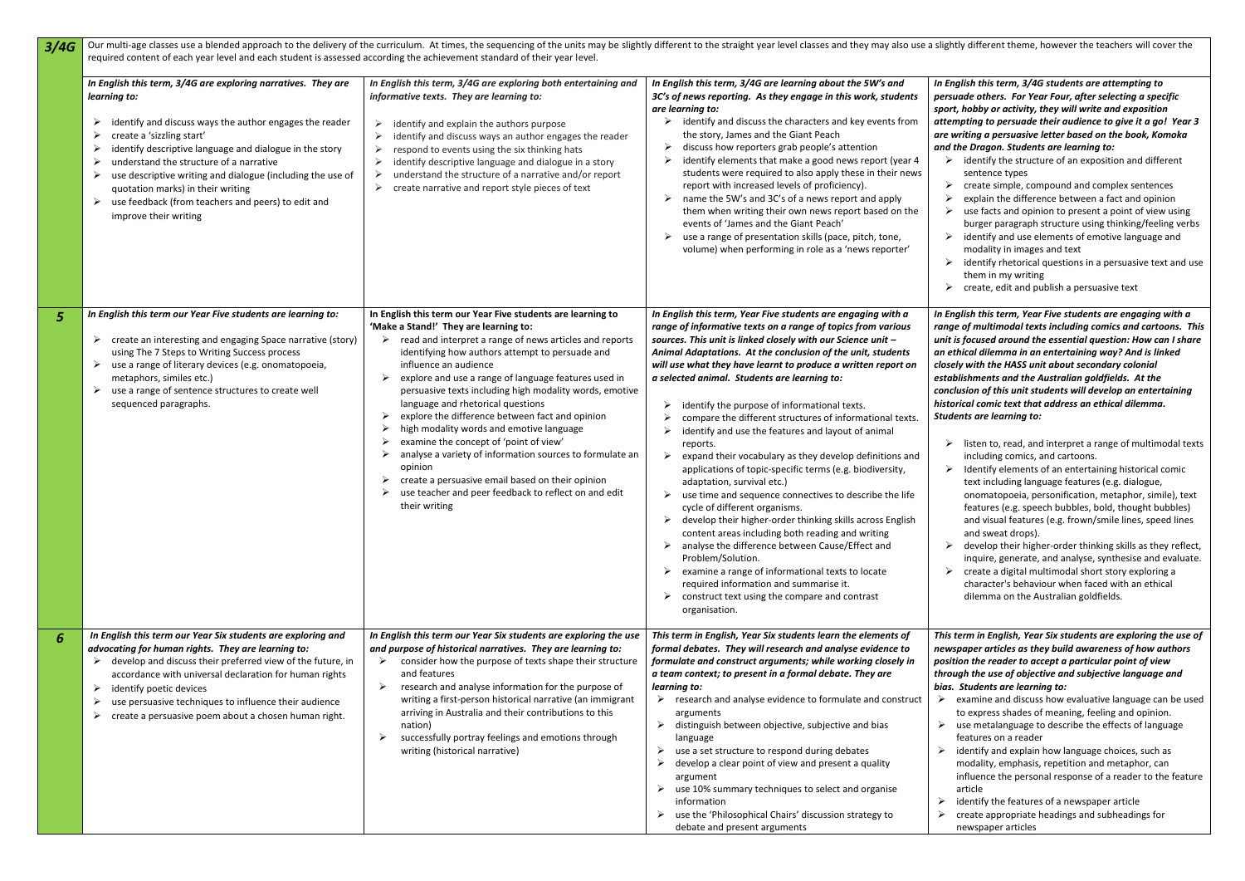*In English this term, 3/4G students are attempting to persuade others. For Year Four, after selecting a specific sport, hobby or activity, they will write and exposition attempting to persuade their audience to give it a go! Year 3 are writing a persuasive letter based on the book, Komoka and the Dragon. Students are learning to:*

- $\triangleright$  identify the structure of an exposition and different sentence types
- $\triangleright$  create simple, compound and complex sentences
- $\triangleright$  explain the difference between a fact and opinion
- $\triangleright$  use facts and opinion to present a point of view using
- burger paragraph structure using thinking/feeling verbs
- $\triangleright$  identify and use elements of emotive language and modality in images and text
- $\triangleright$  identify rhetorical questions in a persuasive text and use them in my writing
- $\triangleright$  create, edit and publish a persuasive text

- $\triangleright$  listen to, read, and interpret a range of multimodal texts including comics, and cartoons.
- $\triangleright$  Identify elements of an entertaining historical comic text including language features (e.g. dialogue, onomatopoeia, personification, metaphor, simile), text features (e.g. speech bubbles, bold, thought bubbles) and visual features (e.g. frown/smile lines, speed lines and sweat drops).
- $\triangleright$  develop their higher-order thinking skills as they reflect, inquire, generate, and analyse, synthesise and evaluate.
- $\triangleright$  create a digital multimodal short story exploring a character's behaviour when faced with an ethical dilemma on the Australian goldfields.

| 3/4G           | Our multi-age classes use a blended approach to the delivery of the curriculum. At times, the sequencing of the units may be slightly different to the straight year level classes and they may also use a s<br>required content of each year level and each student is assessed according the achievement standard of their year level.                                                                                                                                                    |                                                                                                                                                                                                                                                                                                                                                                                                                                                                                                                                                                                                                                                                                                                                                                                     |                                                                                                                                                                                                                                                                                                                                                                                                                                                                                                                                                                                                                                                                                                                                                                                                                                                                                                                                                                                                                                                                                                                                                                                    |  |  |
|----------------|---------------------------------------------------------------------------------------------------------------------------------------------------------------------------------------------------------------------------------------------------------------------------------------------------------------------------------------------------------------------------------------------------------------------------------------------------------------------------------------------|-------------------------------------------------------------------------------------------------------------------------------------------------------------------------------------------------------------------------------------------------------------------------------------------------------------------------------------------------------------------------------------------------------------------------------------------------------------------------------------------------------------------------------------------------------------------------------------------------------------------------------------------------------------------------------------------------------------------------------------------------------------------------------------|------------------------------------------------------------------------------------------------------------------------------------------------------------------------------------------------------------------------------------------------------------------------------------------------------------------------------------------------------------------------------------------------------------------------------------------------------------------------------------------------------------------------------------------------------------------------------------------------------------------------------------------------------------------------------------------------------------------------------------------------------------------------------------------------------------------------------------------------------------------------------------------------------------------------------------------------------------------------------------------------------------------------------------------------------------------------------------------------------------------------------------------------------------------------------------|--|--|
|                | In English this term, 3/4G are exploring narratives. They are<br>learning to:<br>identify and discuss ways the author engages the reader<br>➤<br>create a 'sizzling start'<br>➤<br>identify descriptive language and dialogue in the story<br>➤<br>understand the structure of a narrative<br>➤<br>use descriptive writing and dialogue (including the use of<br>➤<br>quotation marks) in their writing<br>use feedback (from teachers and peers) to edit and<br>➤<br>improve their writing | In English this term, 3/4G are exploring both entertaining and<br>informative texts. They are learning to:<br>identify and explain the authors purpose<br>➤<br>identify and discuss ways an author engages the reader<br>➤<br>respond to events using the six thinking hats<br>➤<br>identify descriptive language and dialogue in a story<br>➤<br>understand the structure of a narrative and/or report<br>➤<br>create narrative and report style pieces of text<br>➤                                                                                                                                                                                                                                                                                                               | In English this term, 3/4G are learning about the 5W's and<br>3C's of news reporting. As they engage in this work, students<br>are learning to:<br>identify and discuss the characters and key events from<br>➤<br>the story, James and the Giant Peach<br>discuss how reporters grab people's attention<br>identify elements that make a good news report (year 4<br>students were required to also apply these in their news<br>report with increased levels of proficiency).<br>name the 5W's and 3C's of a news report and apply<br>➤<br>them when writing their own news report based on the<br>events of 'James and the Giant Peach'<br>use a range of presentation skills (pace, pitch, tone,<br>➤<br>volume) when performing in role as a 'news reporter'                                                                                                                                                                                                                                                                                                                                                                                                                  |  |  |
| 5 <sup>5</sup> | In English this term our Year Five students are learning to:<br>create an interesting and engaging Space narrative (story)<br>➤<br>using The 7 Steps to Writing Success process<br>use a range of literary devices (e.g. onomatopoeia,<br>➤<br>metaphors, similes etc.)<br>use a range of sentence structures to create well<br>➤<br>sequenced paragraphs.                                                                                                                                  | In English this term our Year Five students are learning to<br>'Make a Stand!' They are learning to:<br>read and interpret a range of news articles and reports<br>➤<br>identifying how authors attempt to persuade and<br>influence an audience<br>explore and use a range of language features used in<br>➤<br>persuasive texts including high modality words, emotive<br>language and rhetorical questions<br>explore the difference between fact and opinion<br>➤<br>high modality words and emotive language<br>➤<br>examine the concept of 'point of view'<br>➤<br>analyse a variety of information sources to formulate an<br>➤<br>opinion<br>create a persuasive email based on their opinion<br>➤<br>use teacher and peer feedback to reflect on and edit<br>their writing | In English this term, Year Five students are engaging with a<br>range of informative texts on a range of topics from various<br>sources. This unit is linked closely with our Science unit -<br>Animal Adaptations. At the conclusion of the unit, students<br>will use what they have learnt to produce a written report on<br>a selected animal. Students are learning to:<br>identify the purpose of informational texts.<br>compare the different structures of informational texts.<br>identify and use the features and layout of animal<br>reports.<br>expand their vocabulary as they develop definitions and<br>➤<br>applications of topic-specific terms (e.g. biodiversity,<br>adaptation, survival etc.)<br>use time and sequence connectives to describe the life<br>cycle of different organisms.<br>➤<br>develop their higher-order thinking skills across English<br>content areas including both reading and writing<br>➤<br>analyse the difference between Cause/Effect and<br>Problem/Solution.<br>examine a range of informational texts to locate<br>required information and summarise it.<br>construct text using the compare and contrast<br>organisation. |  |  |
| 6              | In English this term our Year Six students are exploring and<br>advocating for human rights. They are learning to:<br>develop and discuss their preferred view of the future, in<br>accordance with universal declaration for human rights<br>identify poetic devices<br>➤<br>use persuasive techniques to influence their audience<br>➤<br>create a persuasive poem about a chosen human right.<br>➤                                                                                       | In English this term our Year Six students are exploring the use<br>and purpose of historical narratives. They are learning to:<br>consider how the purpose of texts shape their structure<br>➤<br>and features<br>research and analyse information for the purpose of<br>➤<br>writing a first-person historical narrative (an immigrant<br>arriving in Australia and their contributions to this<br>nation)<br>successfully portray feelings and emotions through<br>➤<br>writing (historical narrative)                                                                                                                                                                                                                                                                           | This term in English, Year Six students learn the elements of<br>formal debates. They will research and analyse evidence to<br>formulate and construct arguments; while working closely in<br>a team context; to present in a formal debate. They are<br>learning to:<br>research and analyse evidence to formulate and construct<br>arguments<br>distinguish between objective, subjective and bias<br>language<br>use a set structure to respond during debates<br>➤<br>develop a clear point of view and present a quality<br>argument<br>use 10% summary techniques to select and organise<br>information<br>use the 'Philosophical Chairs' discussion strategy to<br>debate and present arguments                                                                                                                                                                                                                                                                                                                                                                                                                                                                             |  |  |

- $\triangleright$  examine and discuss how evaluative language can be used to express shades of meaning, feeling and opinion.
- $\triangleright$  use metalanguage to describe the effects of language features on a reader
- $\triangleright$  identify and explain how language choices, such as modality, emphasis, repetition and metaphor, can influence the personal response of a reader to the feature article
- $\triangleright$  identify the features of a newspaper article
- $\triangleright$  create appropriate headings and subheadings for newspaper articles

*In English this term, Year Five students are engaging with a range of multimodal texts including comics and cartoons. This unit is focused around the essential question: How can I share an ethical dilemma in an entertaining way? And is linked closely with the HASS unit about secondary colonial establishments and the Australian goldfields. At the conclusion of this unit students will develop an entertaining historical comic text that address an ethical dilemma. Students are learning to:* 

*This term in English, Year Six students are exploring the use of newspaper articles as they build awareness of how authors position the reader to accept a particular point of view through the use of objective and subjective language and bias. Students are learning to:*